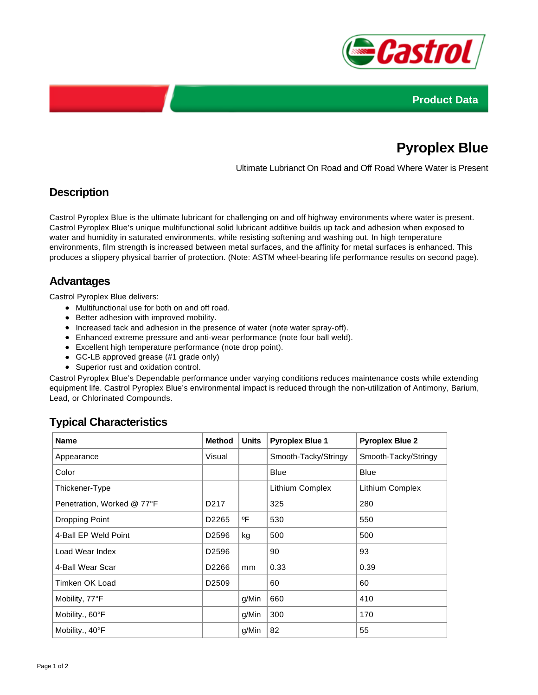



# **Pyroplex Blue**

Ultimate Lubrianct On Road and Off Road Where Water is Present

# **Description**

Castrol Pyroplex Blue is the ultimate lubricant for challenging on and off highway environments where water is present. Castrol Pyroplex Blue's unique multifunctional solid lubricant additive builds up tack and adhesion when exposed to water and humidity in saturated environments, while resisting softening and washing out. In high temperature environments, film strength is increased between metal surfaces, and the affinity for metal surfaces is enhanced. This produces a slippery physical barrier of protection. (Note: ASTM wheel-bearing life performance results on second page).

### **Advantages**

Castrol Pyroplex Blue delivers:

- Multifunctional use for both on and off road.
- Better adhesion with improved mobility.
- Increased tack and adhesion in the presence of water (note water spray-off).
- Enhanced extreme pressure and anti-wear performance (note four ball weld).
- Excellent high temperature performance (note drop point).
- GC-LB approved grease (#1 grade only)
- Superior rust and oxidation control.

Castrol Pyroplex Blue's Dependable performance under varying conditions reduces maintenance costs while extending equipment life. Castrol Pyroplex Blue's environmental impact is reduced through the non-utilization of Antimony, Barium, Lead, or Chlorinated Compounds.

# **Typical Characteristics**

| <b>Name</b>                | <b>Method</b>     | <b>Units</b> | <b>Pyroplex Blue 1</b> | <b>Pyroplex Blue 2</b> |
|----------------------------|-------------------|--------------|------------------------|------------------------|
| Appearance                 | Visual            |              | Smooth-Tacky/Stringy   | Smooth-Tacky/Stringy   |
| Color                      |                   |              | Blue                   | <b>Blue</b>            |
| Thickener-Type             |                   |              | Lithium Complex        | Lithium Complex        |
| Penetration, Worked @ 77°F | D <sub>2</sub> 17 |              | 325                    | 280                    |
| Dropping Point             | D2265             | ºF           | 530                    | 550                    |
| 4-Ball EP Weld Point       | D <sub>2596</sub> | kg           | 500                    | 500                    |
| Load Wear Index            | D <sub>2596</sub> |              | 90                     | 93                     |
| 4-Ball Wear Scar           | D2266             | mm           | 0.33                   | 0.39                   |
| Timken OK Load             | D <sub>2509</sub> |              | 60                     | 60                     |
| Mobility, 77°F             |                   | g/Min        | 660                    | 410                    |
| Mobility., 60°F            |                   | g/Min        | 300                    | 170                    |
| Mobility., 40°F            |                   | g/Min        | 82                     | 55                     |